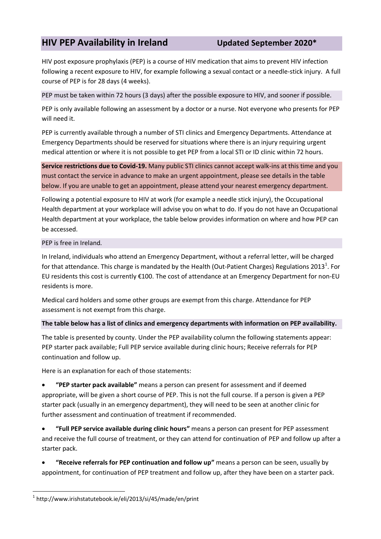## **HIV PEP Availability in Ireland Updated September 2020\***

HIV post exposure prophylaxis (PEP) is a course of HIV medication that aims to prevent HIV infection following a recent exposure to HIV, for example following a sexual contact or a needle-stick injury. A full course of PEP is for 28 days (4 weeks).

PEP must be taken within 72 hours (3 days) after the possible exposure to HIV, and sooner if possible.

PEP is only available following an assessment by a doctor or a nurse. Not everyone who presents for PEP will need it.

PEP is currently available through a number of STI clinics and Emergency Departments. Attendance at Emergency Departments should be reserved for situations where there is an injury requiring urgent medical attention or where it is not possible to get PEP from a local STI or ID clinic within 72 hours.

**Service restrictions due to Covid-19.** Many public STI clinics cannot accept walk-ins at this time and you must contact the service in advance to make an urgent appointment, please see details in the table below. If you are unable to get an appointment, please attend your nearest emergency department.

Following a potential exposure to HIV at work (for example a needle stick injury), the Occupational Health department at your workplace will advise you on what to do. If you do not have an Occupational Health department at your workplace, the table below provides information on where and how PEP can be accessed.

## PEP is free in Ireland.

In Ireland, individuals who attend an Emergency Department, without a referral letter, will be charged for that attendance. This charge is mandated by the Health (Out-Patient Charges) Regulations 2013<sup>1</sup>. For EU residents this cost is currently €100. The cost of attendance at an Emergency Department for non-EU residents is more.

Medical card holders and some other groups are exempt from this charge. Attendance for PEP assessment is not exempt from this charge.

## **The table below has a list of clinics and emergency departments with information on PEP availability.**

The table is presented by county. Under the PEP availability column the following statements appear: PEP starter pack available; Full PEP service available during clinic hours; Receive referrals for PEP continuation and follow up.

Here is an explanation for each of those statements:

 **"PEP starter pack available"** means a person can present for assessment and if deemed appropriate, will be given a short course of PEP. This is not the full course. If a person is given a PEP starter pack (usually in an emergency department), they will need to be seen at another clinic for further assessment and continuation of treatment if recommended.

 **"Full PEP service available during clinic hours"** means a person can present for PEP assessment and receive the full course of treatment, or they can attend for continuation of PEP and follow up after a starter pack.

 **"Receive referrals for PEP continuation and follow up"** means a person can be seen, usually by appointment, for continuation of PEP treatment and follow up, after they have been on a starter pack.

 $\overline{\phantom{a}}$ 

<sup>1</sup> http://www.irishstatutebook.ie/eli/2013/si/45/made/en/print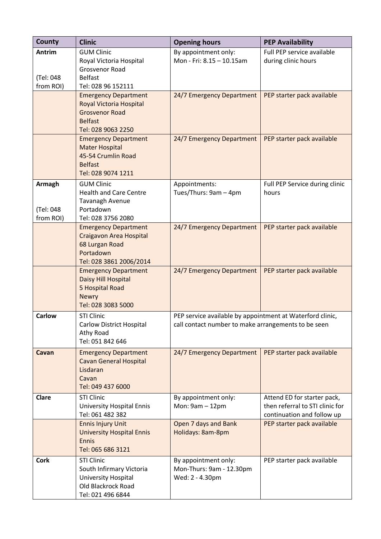| <b>County</b>                           | <b>Clinic</b>                                                                                                                  | <b>Opening hours</b>                                                                                             | <b>PEP Availability</b>                                                                      |
|-----------------------------------------|--------------------------------------------------------------------------------------------------------------------------------|------------------------------------------------------------------------------------------------------------------|----------------------------------------------------------------------------------------------|
| Antrim<br>(Tel: 048<br>from ROI)        | <b>GUM Clinic</b><br>Royal Victoria Hospital<br>Grosvenor Road<br><b>Belfast</b><br>Tel: 028 96 152111                         | By appointment only:<br>Mon - Fri: 8.15 - 10.15am                                                                | Full PEP service available<br>during clinic hours                                            |
|                                         | <b>Emergency Department</b><br><b>Royal Victoria Hospital</b><br><b>Grosvenor Road</b><br><b>Belfast</b><br>Tel: 028 9063 2250 | 24/7 Emergency Department                                                                                        | PEP starter pack available                                                                   |
|                                         | <b>Emergency Department</b><br><b>Mater Hospital</b><br>45-54 Crumlin Road<br><b>Belfast</b><br>Tel: 028 9074 1211             | 24/7 Emergency Department                                                                                        | PEP starter pack available                                                                   |
| <b>Armagh</b><br>(Tel: 048<br>from ROI) | <b>GUM Clinic</b><br><b>Health and Care Centre</b><br>Tavanagh Avenue<br>Portadown<br>Tel: 028 3756 2080                       | Appointments:<br>Tues/Thurs: 9am - 4pm                                                                           | Full PEP Service during clinic<br>hours                                                      |
|                                         | <b>Emergency Department</b><br>Craigavon Area Hospital<br>68 Lurgan Road<br>Portadown<br>Tel: 028 3861 2006/2014               | 24/7 Emergency Department                                                                                        | PEP starter pack available                                                                   |
|                                         | <b>Emergency Department</b><br>Daisy Hill Hospital<br>5 Hospital Road<br><b>Newry</b><br>Tel: 028 3083 5000                    | 24/7 Emergency Department                                                                                        | PEP starter pack available                                                                   |
| <b>Carlow</b>                           | <b>STI Clinic</b><br>Carlow District Hospital<br>Athy Road<br>Tel: 051 842 646                                                 | PEP service available by appointment at Waterford clinic,<br>call contact number to make arrangements to be seen |                                                                                              |
| Cavan                                   | <b>Emergency Department</b><br><b>Cavan General Hospital</b><br>Lisdaran<br>Cavan<br>Tel: 049 437 6000                         | 24/7 Emergency Department                                                                                        | PEP starter pack available                                                                   |
| Clare                                   | <b>STI Clinic</b><br><b>University Hospital Ennis</b><br>Tel: 061 482 382                                                      | By appointment only:<br>Mon: 9am - 12pm                                                                          | Attend ED for starter pack,<br>then referral to STI clinic for<br>continuation and follow up |
|                                         | <b>Ennis Injury Unit</b><br><b>University Hospital Ennis</b><br>Ennis<br>Tel: 065 686 3121                                     | Open 7 days and Bank<br>Holidays: 8am-8pm                                                                        | PEP starter pack available                                                                   |
| <b>Cork</b>                             | <b>STI Clinic</b><br>South Infirmary Victoria<br>University Hospital<br>Old Blackrock Road<br>Tel: 021 496 6844                | By appointment only:<br>Mon-Thurs: 9am - 12.30pm<br>Wed: 2 - 4.30pm                                              | PEP starter pack available                                                                   |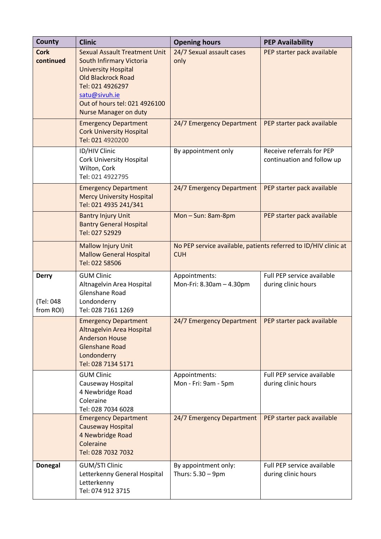| County                                 | <b>Clinic</b>                                                                                                                                                                                                                     | <b>Opening hours</b>                                   | <b>PEP Availability</b>                                         |
|----------------------------------------|-----------------------------------------------------------------------------------------------------------------------------------------------------------------------------------------------------------------------------------|--------------------------------------------------------|-----------------------------------------------------------------|
| <b>Cork</b><br>continued               | <b>Sexual Assault Treatment Unit</b><br>South Infirmary Victoria<br><b>University Hospital</b><br><b>Old Blackrock Road</b><br>Tel: 021 4926297<br>satu@sivuh.ie<br>Out of hours tel: 021 4926100<br><b>Nurse Manager on duty</b> | 24/7 Sexual assault cases<br>only                      | PEP starter pack available                                      |
|                                        | <b>Emergency Department</b><br><b>Cork University Hospital</b><br>Tel: 021 4920200                                                                                                                                                | 24/7 Emergency Department                              | PEP starter pack available                                      |
|                                        | ID/HIV Clinic<br><b>Cork University Hospital</b><br>Wilton, Cork<br>Tel: 021 4922795                                                                                                                                              | By appointment only                                    | Receive referrals for PEP<br>continuation and follow up         |
|                                        | <b>Emergency Department</b><br><b>Mercy University Hospital</b><br>Tel: 021 4935 241/341                                                                                                                                          | 24/7 Emergency Department                              | PEP starter pack available                                      |
|                                        | <b>Bantry Injury Unit</b><br><b>Bantry General Hospital</b><br>Tel: 027 52929                                                                                                                                                     | Mon-Sun: 8am-8pm                                       | PEP starter pack available                                      |
|                                        | <b>Mallow Injury Unit</b><br><b>Mallow General Hospital</b><br>Tel: 022 58506                                                                                                                                                     | <b>CUH</b>                                             | No PEP service available, patients referred to ID/HIV clinic at |
| <b>Derry</b><br>(Tel: 048<br>from ROI) | <b>GUM Clinic</b><br>Altnagelvin Area Hospital<br>Glenshane Road<br>Londonderry<br>Tel: 028 7161 1269                                                                                                                             | Appointments:<br>Mon-Fri: 8.30am - 4.30pm              | Full PEP service available<br>during clinic hours               |
|                                        | <b>Emergency Department</b><br>Altnagelvin Area Hospital<br><b>Anderson House</b><br><b>Glenshane Road</b><br>Londonderry<br>Tel: 028 7134 5171                                                                                   | 24/7 Emergency Department   PEP starter pack available |                                                                 |
|                                        | <b>GUM Clinic</b><br>Causeway Hospital<br>4 Newbridge Road<br>Coleraine<br>Tel: 028 7034 6028                                                                                                                                     | Appointments:<br>Mon - Fri: 9am - 5pm                  | Full PEP service available<br>during clinic hours               |
|                                        | <b>Emergency Department</b><br><b>Causeway Hospital</b><br>4 Newbridge Road<br>Coleraine<br>Tel: 028 7032 7032                                                                                                                    | 24/7 Emergency Department                              | PEP starter pack available                                      |
| <b>Donegal</b>                         | <b>GUM/STI Clinic</b><br>Letterkenny General Hospital<br>Letterkenny<br>Tel: 074 912 3715                                                                                                                                         | By appointment only:<br>Thurs: 5.30 - 9pm              | Full PEP service available<br>during clinic hours               |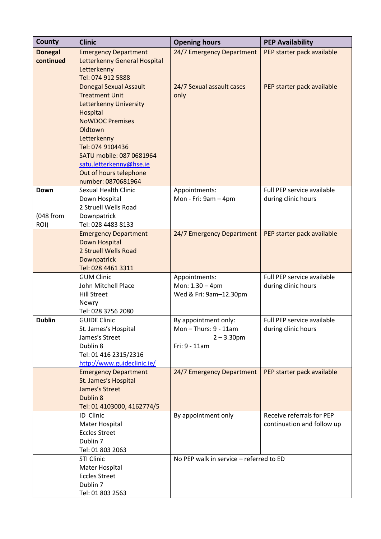| County            | <b>Clinic</b>                                 | <b>Opening hours</b>                      | <b>PEP Availability</b>    |
|-------------------|-----------------------------------------------|-------------------------------------------|----------------------------|
| <b>Donegal</b>    | <b>Emergency Department</b>                   | 24/7 Emergency Department                 | PEP starter pack available |
| continued         | Letterkenny General Hospital                  |                                           |                            |
|                   | Letterkenny<br>Tel: 074 912 5888              |                                           |                            |
|                   | <b>Donegal Sexual Assault</b>                 | 24/7 Sexual assault cases                 | PEP starter pack available |
|                   | <b>Treatment Unit</b>                         | only                                      |                            |
|                   | <b>Letterkenny University</b>                 |                                           |                            |
|                   | Hospital                                      |                                           |                            |
|                   | <b>NoWDOC Premises</b>                        |                                           |                            |
|                   | Oldtown                                       |                                           |                            |
|                   | Letterkenny                                   |                                           |                            |
|                   | Tel: 074 9104436<br>SATU mobile: 087 0681964  |                                           |                            |
|                   | satu.letterkenny@hse.ie                       |                                           |                            |
|                   | Out of hours telephone                        |                                           |                            |
|                   | number: 0870681964                            |                                           |                            |
| Down              | <b>Sexual Health Clinic</b>                   | Appointments:                             | Full PEP service available |
|                   | Down Hospital                                 | Mon - Fri: 9am - 4pm                      | during clinic hours        |
|                   | 2 Struell Wells Road                          |                                           |                            |
| (048 from<br>ROI) | Downpatrick<br>Tel: 028 4483 8133             |                                           |                            |
|                   | <b>Emergency Department</b>                   | 24/7 Emergency Department                 | PEP starter pack available |
|                   | Down Hospital                                 |                                           |                            |
|                   | 2 Struell Wells Road                          |                                           |                            |
|                   | Downpatrick                                   |                                           |                            |
|                   | Tel: 028 4461 3311                            |                                           |                            |
|                   | <b>GUM Clinic</b>                             | Appointments:                             | Full PEP service available |
|                   | John Mitchell Place<br><b>Hill Street</b>     | Mon: 1.30 - 4pm<br>Wed & Fri: 9am-12.30pm | during clinic hours        |
|                   | Newry                                         |                                           |                            |
|                   | Tel: 028 3756 2080                            |                                           |                            |
| <b>Dublin</b>     | <b>GUIDE Clinic</b>                           | By appointment only:                      | Full PEP service available |
|                   | St. James's Hospital                          | Mon-Thurs: 9 - 11am                       | during clinic hours        |
|                   | James's Street                                | $2 - 3.30$ pm                             |                            |
|                   | Dublin 8<br>Tel: 01 416 2315/2316             | Fri: 9 - 11am                             |                            |
|                   | http://www.guideclinic.ie/                    |                                           |                            |
|                   | <b>Emergency Department</b>                   | 24/7 Emergency Department                 | PEP starter pack available |
|                   | St. James's Hospital                          |                                           |                            |
|                   | James's Street                                |                                           |                            |
|                   | Dublin 8                                      |                                           |                            |
|                   | Tel: 01 4103000, 4162774/5                    |                                           |                            |
|                   | ID Clinic                                     | By appointment only                       | Receive referrals for PEP  |
|                   | <b>Mater Hospital</b><br><b>Eccles Street</b> |                                           | continuation and follow up |
|                   | Dublin 7                                      |                                           |                            |
|                   | Tel: 01 803 2063                              |                                           |                            |
|                   | STI Clinic                                    | No PEP walk in service - referred to ED   |                            |
|                   | <b>Mater Hospital</b>                         |                                           |                            |
|                   | <b>Eccles Street</b>                          |                                           |                            |
|                   | Dublin 7                                      |                                           |                            |
|                   | Tel: 01 803 2563                              |                                           |                            |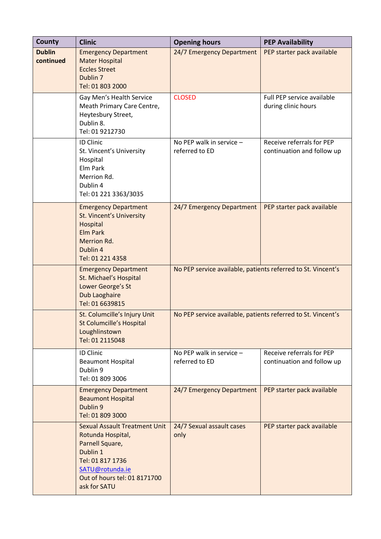| County                     | <b>Clinic</b>                                                                                                                                                                   | <b>Opening hours</b>                                         | <b>PEP Availability</b>                                 |
|----------------------------|---------------------------------------------------------------------------------------------------------------------------------------------------------------------------------|--------------------------------------------------------------|---------------------------------------------------------|
| <b>Dublin</b><br>continued | <b>Emergency Department</b><br><b>Mater Hospital</b><br><b>Eccles Street</b><br>Dublin <sub>7</sub><br>Tel: 01 803 2000                                                         | 24/7 Emergency Department                                    | PEP starter pack available                              |
|                            | Gay Men's Health Service<br>Meath Primary Care Centre,<br>Heytesbury Street,<br>Dublin 8.<br>Tel: 01 9212730                                                                    | <b>CLOSED</b>                                                | Full PEP service available<br>during clinic hours       |
|                            | <b>ID Clinic</b><br>St. Vincent's University<br>Hospital<br>Elm Park<br>Merrion Rd.<br>Dublin 4<br>Tel: 01 221 3363/3035                                                        | No PEP walk in service -<br>referred to ED                   | Receive referrals for PEP<br>continuation and follow up |
|                            | <b>Emergency Department</b><br><b>St. Vincent's University</b><br>Hospital<br><b>Elm Park</b><br>Merrion Rd.<br>Dublin 4<br>Tel: 01 221 4358                                    | 24/7 Emergency Department                                    | PEP starter pack available                              |
|                            | <b>Emergency Department</b><br>St. Michael's Hospital<br>Lower George's St<br>Dub Laoghaire<br>Tel: 01 6639815                                                                  | No PEP service available, patients referred to St. Vincent's |                                                         |
|                            | St. Columcille's Injury Unit<br><b>St Columcille's Hospital</b><br>Loughlinstown<br>Tel: 01 2115048                                                                             | No PEP service available, patients referred to St. Vincent's |                                                         |
|                            | <b>ID Clinic</b><br><b>Beaumont Hospital</b><br>Dublin 9<br>Tel: 01 809 3006                                                                                                    | No PEP walk in service -<br>referred to ED                   | Receive referrals for PEP<br>continuation and follow up |
|                            | <b>Emergency Department</b><br><b>Beaumont Hospital</b><br>Dublin 9<br>Tel: 01 809 3000                                                                                         | 24/7 Emergency Department                                    | PEP starter pack available                              |
|                            | <b>Sexual Assault Treatment Unit</b><br>Rotunda Hospital,<br>Parnell Square,<br>Dublin 1<br>Tel: 01 817 1736<br>SATU@rotunda.ie<br>Out of hours tel: 01 8171700<br>ask for SATU | 24/7 Sexual assault cases<br>only                            | PEP starter pack available                              |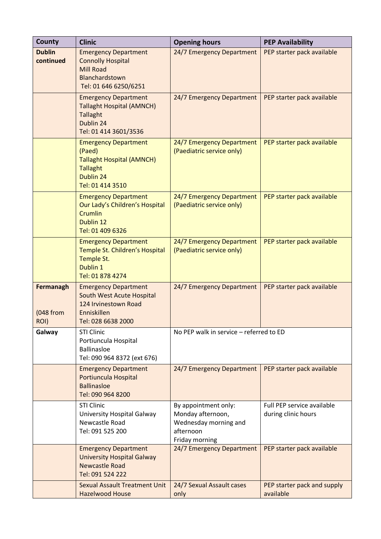| <b>County</b>                  | <b>Clinic</b>                                                                                                                 | <b>Opening hours</b>                                                                              | <b>PEP Availability</b>                           |
|--------------------------------|-------------------------------------------------------------------------------------------------------------------------------|---------------------------------------------------------------------------------------------------|---------------------------------------------------|
| <b>Dublin</b><br>continued     | <b>Emergency Department</b><br><b>Connolly Hospital</b><br><b>Mill Road</b><br>Blanchardstown<br>Tel: 01 646 6250/6251        | 24/7 Emergency Department                                                                         | PEP starter pack available                        |
|                                | <b>Emergency Department</b><br><b>Tallaght Hospital (AMNCH)</b><br><b>Tallaght</b><br>Dublin 24<br>Tel: 01 414 3601/3536      | 24/7 Emergency Department                                                                         | PEP starter pack available                        |
|                                | <b>Emergency Department</b><br>(Paed)<br><b>Tallaght Hospital (AMNCH)</b><br><b>Tallaght</b><br>Dublin 24<br>Tel: 01 414 3510 | 24/7 Emergency Department<br>(Paediatric service only)                                            | PEP starter pack available                        |
|                                | <b>Emergency Department</b><br>Our Lady's Children's Hospital<br>Crumlin<br>Dublin 12<br>Tel: 01 409 6326                     | 24/7 Emergency Department<br>(Paediatric service only)                                            | PEP starter pack available                        |
|                                | <b>Emergency Department</b><br>Temple St. Children's Hospital<br>Temple St.<br>Dublin 1<br>Tel: 01 878 4274                   | 24/7 Emergency Department<br>(Paediatric service only)                                            | PEP starter pack available                        |
| Fermanagh<br>(048 from<br>ROI) | <b>Emergency Department</b><br>South West Acute Hospital<br>124 Irvinestown Road<br>Enniskillen<br>Tel: 028 6638 2000         | 24/7 Emergency Department                                                                         | PEP starter pack available                        |
| Galway                         | <b>STI Clinic</b><br>Portiuncula Hospital<br><b>Ballinasloe</b><br>Tel: 090 964 8372 (ext 676)                                | No PEP walk in service - referred to ED                                                           |                                                   |
|                                | <b>Emergency Department</b><br>Portiuncula Hospital<br><b>Ballinasloe</b><br>Tel: 090 964 8200                                | 24/7 Emergency Department                                                                         | PEP starter pack available                        |
|                                | <b>STI Clinic</b><br>University Hospital Galway<br>Newcastle Road<br>Tel: 091 525 200                                         | By appointment only:<br>Monday afternoon,<br>Wednesday morning and<br>afternoon<br>Friday morning | Full PEP service available<br>during clinic hours |
|                                | <b>Emergency Department</b><br><b>University Hospital Galway</b><br><b>Newcastle Road</b><br>Tel: 091 524 222                 | 24/7 Emergency Department                                                                         | PEP starter pack available                        |
|                                | <b>Sexual Assault Treatment Unit</b><br><b>Hazelwood House</b>                                                                | 24/7 Sexual Assault cases<br>only                                                                 | PEP starter pack and supply<br>available          |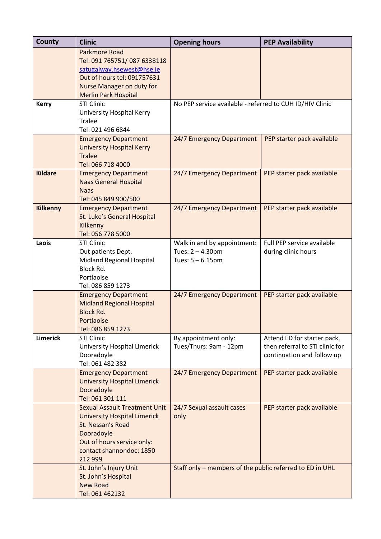| County          | <b>Clinic</b>                                                                                                                                                                       | <b>Opening hours</b>                                                   | <b>PEP Availability</b>                                                                      |
|-----------------|-------------------------------------------------------------------------------------------------------------------------------------------------------------------------------------|------------------------------------------------------------------------|----------------------------------------------------------------------------------------------|
|                 | <b>Parkmore Road</b><br>Tel: 091 765751/087 6338118<br>satugalway.hsewest@hse.ie<br>Out of hours tel: 091757631                                                                     |                                                                        |                                                                                              |
|                 | Nurse Manager on duty for<br><b>Merlin Park Hospital</b>                                                                                                                            |                                                                        |                                                                                              |
| <b>Kerry</b>    | <b>STI Clinic</b><br>University Hospital Kerry<br><b>Tralee</b><br>Tel: 021 496 6844                                                                                                | No PEP service available - referred to CUH ID/HIV Clinic               |                                                                                              |
|                 | <b>Emergency Department</b><br><b>University Hospital Kerry</b><br><b>Tralee</b><br>Tel: 066 718 4000                                                                               | 24/7 Emergency Department                                              | PEP starter pack available                                                                   |
| <b>Kildare</b>  | <b>Emergency Department</b><br><b>Naas General Hospital</b><br><b>Naas</b><br>Tel: 045 849 900/500                                                                                  | 24/7 Emergency Department                                              | PEP starter pack available                                                                   |
| <b>Kilkenny</b> | <b>Emergency Department</b><br>St. Luke's General Hospital<br>Kilkenny<br>Tel: 056 778 5000                                                                                         | 24/7 Emergency Department                                              | PEP starter pack available                                                                   |
| Laois           | <b>STI Clinic</b><br>Out patients Dept.<br>Midland Regional Hospital<br>Block Rd.<br>Portlaoise<br>Tel: 086 859 1273                                                                | Walk in and by appointment:<br>Tues: 2 - 4.30pm<br>Tues: $5 - 6.15$ pm | Full PEP service available<br>during clinic hours                                            |
|                 | <b>Emergency Department</b><br><b>Midland Regional Hospital</b><br><b>Block Rd.</b><br>Portlaoise<br>Tel: 086 859 1273                                                              | 24/7 Emergency Department                                              | PEP starter pack available                                                                   |
| <b>Limerick</b> | <b>STI Clinic</b><br><b>University Hospital Limerick</b><br>Dooradoyle<br>Tel: 061 482 382                                                                                          | By appointment only:<br>Tues/Thurs: 9am - 12pm                         | Attend ED for starter pack,<br>then referral to STI clinic for<br>continuation and follow up |
|                 | <b>Emergency Department</b><br><b>University Hospital Limerick</b><br>Dooradoyle<br>Tel: 061 301 111                                                                                | 24/7 Emergency Department                                              | PEP starter pack available                                                                   |
|                 | <b>Sexual Assault Treatment Unit</b><br><b>University Hospital Limerick</b><br>St. Nessan's Road<br>Dooradoyle<br>Out of hours service only:<br>contact shannondoc: 1850<br>212 999 | 24/7 Sexual assault cases<br>only                                      | PEP starter pack available                                                                   |
|                 | St. John's Injury Unit<br>St. John's Hospital<br><b>New Road</b><br>Tel: 061 462132                                                                                                 | Staff only - members of the public referred to ED in UHL               |                                                                                              |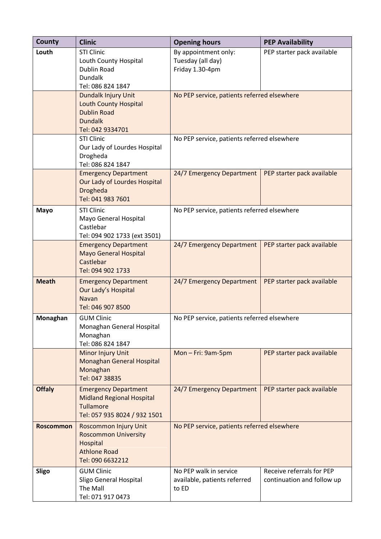| County           | <b>Clinic</b>                                                                                                       | <b>Opening hours</b>                                            | <b>PEP Availability</b>                                 |
|------------------|---------------------------------------------------------------------------------------------------------------------|-----------------------------------------------------------------|---------------------------------------------------------|
| Louth            | <b>STI Clinic</b><br>Louth County Hospital<br><b>Dublin Road</b><br>Dundalk<br>Tel: 086 824 1847                    | By appointment only:<br>Tuesday (all day)<br>Friday 1.30-4pm    | PEP starter pack available                              |
|                  | Dundalk Injury Unit<br><b>Louth County Hospital</b><br><b>Dublin Road</b><br><b>Dundalk</b><br>Tel: 042 9334701     | No PEP service, patients referred elsewhere                     |                                                         |
|                  | <b>STI Clinic</b><br>Our Lady of Lourdes Hospital<br>Drogheda<br>Tel: 086 824 1847                                  | No PEP service, patients referred elsewhere                     |                                                         |
|                  | <b>Emergency Department</b><br>Our Lady of Lourdes Hospital<br>Drogheda<br>Tel: 041 983 7601                        | 24/7 Emergency Department                                       | PEP starter pack available                              |
| <b>Mayo</b>      | <b>STI Clinic</b><br>Mayo General Hospital<br>Castlebar<br>Tel: 094 902 1733 (ext 3501)                             | No PEP service, patients referred elsewhere                     |                                                         |
|                  | <b>Emergency Department</b><br><b>Mayo General Hospital</b><br>Castlebar<br>Tel: 094 902 1733                       | 24/7 Emergency Department                                       | PEP starter pack available                              |
| <b>Meath</b>     | <b>Emergency Department</b><br>Our Lady's Hospital<br><b>Navan</b><br>Tel: 046 907 8500                             | 24/7 Emergency Department                                       | PEP starter pack available                              |
| Monaghan         | <b>GUM Clinic</b><br>Monaghan General Hospital<br>Monaghan<br>Tel: 086 824 1847                                     | No PEP service, patients referred elsewhere                     |                                                         |
|                  | <b>Minor Injury Unit</b><br><b>Monaghan General Hospital</b><br>Monaghan<br>Tel: 047 38835                          | Mon-Fri: 9am-5pm                                                | PEP starter pack available                              |
| <b>Offaly</b>    | <b>Emergency Department</b><br><b>Midland Regional Hospital</b><br><b>Tullamore</b><br>Tel: 057 935 8024 / 932 1501 | 24/7 Emergency Department                                       | PEP starter pack available                              |
| <b>Roscommon</b> | <b>Roscommon Injury Unit</b><br><b>Roscommon University</b><br>Hospital<br><b>Athlone Road</b><br>Tel: 090 6632212  | No PEP service, patients referred elsewhere                     |                                                         |
| <b>Sligo</b>     | <b>GUM Clinic</b><br>Sligo General Hospital<br>The Mall<br>Tel: 071 917 0473                                        | No PEP walk in service<br>available, patients referred<br>to ED | Receive referrals for PEP<br>continuation and follow up |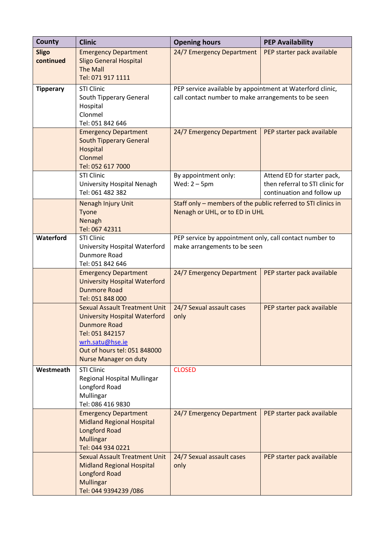| County                    | <b>Clinic</b>                                                                                                                                                                                             | <b>Opening hours</b>                                                                                             | <b>PEP Availability</b>                                                                      |
|---------------------------|-----------------------------------------------------------------------------------------------------------------------------------------------------------------------------------------------------------|------------------------------------------------------------------------------------------------------------------|----------------------------------------------------------------------------------------------|
| <b>Sligo</b><br>continued | <b>Emergency Department</b><br><b>Sligo General Hospital</b><br><b>The Mall</b>                                                                                                                           | 24/7 Emergency Department                                                                                        | PEP starter pack available                                                                   |
|                           | Tel: 071 917 1111                                                                                                                                                                                         |                                                                                                                  |                                                                                              |
| <b>Tipperary</b>          | <b>STI Clinic</b><br>South Tipperary General<br>Hospital<br>Clonmel<br>Tel: 051 842 646                                                                                                                   | PEP service available by appointment at Waterford clinic,<br>call contact number to make arrangements to be seen |                                                                                              |
|                           | <b>Emergency Department</b><br><b>South Tipperary General</b><br>Hospital<br>Clonmel<br>Tel: 052 617 7000                                                                                                 | 24/7 Emergency Department                                                                                        | PEP starter pack available                                                                   |
|                           | <b>STI Clinic</b><br>University Hospital Nenagh<br>Tel: 061 482 382                                                                                                                                       | By appointment only:<br>Wed: $2 - 5$ pm                                                                          | Attend ED for starter pack,<br>then referral to STI clinic for<br>continuation and follow up |
|                           | Nenagh Injury Unit<br>Tyone<br>Nenagh<br>Tel: 067 42311                                                                                                                                                   | Staff only - members of the public referred to STI clinics in<br>Nenagh or UHL, or to ED in UHL                  |                                                                                              |
| Waterford                 | <b>STI Clinic</b><br>University Hospital Waterford<br>Dunmore Road<br>Tel: 051 842 646                                                                                                                    | PEP service by appointment only, call contact number to<br>make arrangements to be seen                          |                                                                                              |
|                           | <b>Emergency Department</b><br><b>University Hospital Waterford</b><br><b>Dunmore Road</b><br>Tel: 051 848 000                                                                                            | 24/7 Emergency Department                                                                                        | PEP starter pack available                                                                   |
|                           | <b>Sexual Assault Treatment Unit</b><br><b>University Hospital Waterford</b><br><b>Dunmore Road</b><br>Tel: 051 842157<br>wrh.satu@hse.ie<br>Out of hours tel: 051 848000<br><b>Nurse Manager on duty</b> | 24/7 Sexual assault cases<br>only                                                                                | PEP starter pack available                                                                   |
| Westmeath                 | <b>STI Clinic</b><br>Regional Hospital Mullingar<br>Longford Road<br>Mullingar<br>Tel: 086 416 9830                                                                                                       | <b>CLOSED</b>                                                                                                    |                                                                                              |
|                           | <b>Emergency Department</b><br><b>Midland Regional Hospital</b><br>Longford Road<br><b>Mullingar</b><br>Tel: 044 934 0221                                                                                 | 24/7 Emergency Department                                                                                        | PEP starter pack available                                                                   |
|                           | <b>Sexual Assault Treatment Unit</b><br><b>Midland Regional Hospital</b><br>Longford Road<br><b>Mullingar</b><br>Tel: 044 9394239 /086                                                                    | 24/7 Sexual assault cases<br>only                                                                                | PEP starter pack available                                                                   |